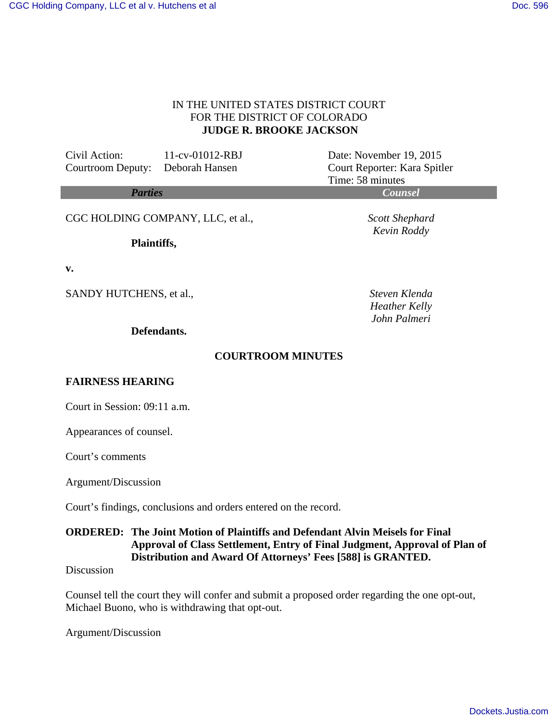## IN THE UNITED STATES DISTRICT COURT FOR THE DISTRICT OF COLORADO  **JUDGE R. BROOKE JACKSON**

*Kevin Roddy*

*Heather Kelly John Palmeri*

| Civil Action:<br>Courtroom Deputy: Deborah Hansen | $11$ -cv-01012-RBJ | Date: November 19, 2015<br>Court Reporter: Kara Spitler<br>Time: 58 minutes |
|---------------------------------------------------|--------------------|-----------------------------------------------------------------------------|
| <i>Parties</i>                                    |                    | <i>Counsel</i>                                                              |

CGC HOLDING COMPANY, LLC, et al., *Scott Shephard*

**Plaintiffs,**

**v.**

SANDY HUTCHENS, et al., *Steven Klenda*

**Defendants.**

# **COURTROOM MINUTES**

## **FAIRNESS HEARING**

Court in Session: 09:11 a.m.

Appearances of counsel.

Court's comments

Argument/Discussion

Court's findings, conclusions and orders entered on the record.

## **ORDERED: The Joint Motion of Plaintiffs and Defendant Alvin Meisels for Final Approval of Class Settlement, Entry of Final Judgment, Approval of Plan of Distribution and Award Of Attorneys' Fees [588] is GRANTED.**

**Discussion** 

Counsel tell the court they will confer and submit a proposed order regarding the one opt-out, Michael Buono, who is withdrawing that opt-out.

Argument/Discussion